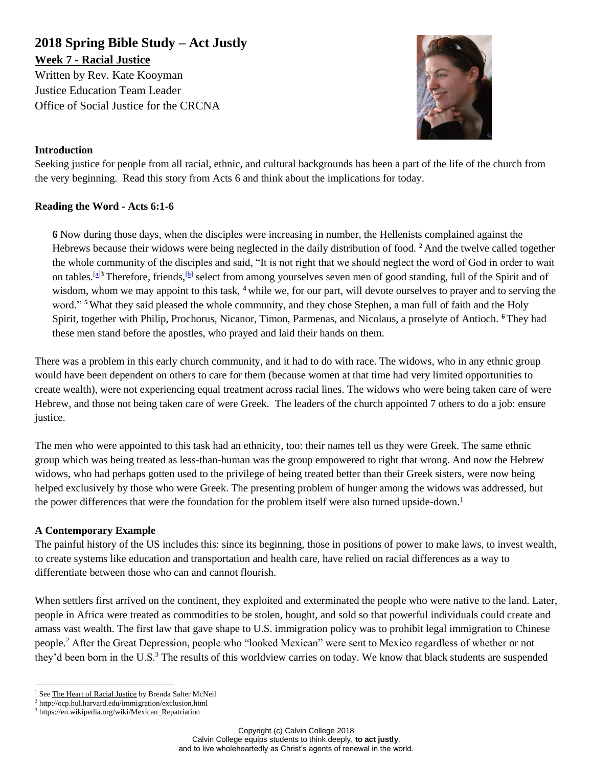# **2018 Spring Bible Study – Act Justly Week 7 - Racial Justice**

Written by Rev. Kate Kooyman Justice Education Team Leader Office of Social Justice for the CRCNA



#### **Introduction**

Seeking justice for people from all racial, ethnic, and cultural backgrounds has been a part of the life of the church from the very beginning. Read this story from Acts 6 and think about the implications for today.

### **Reading the Word - Acts 6:1-6**

**6** Now during those days, when the disciples were increasing in number, the Hellenists complained against the Hebrews because their widows were being neglected in the daily distribution of food. **<sup>2</sup>** And the twelve called together the whole community of the disciples and said, "It is not right that we should neglect the word of God in order to wait on tables.<sup>[\[a\]](https://www.biblegateway.com/passage/?search=acts+6%3A1-6&version=NRSV#fen-NRSV-27093a)3</sup> Therefore, friends,<sup>[\[b\]](https://www.biblegateway.com/passage/?search=acts+6%3A1-6&version=NRSV#fen-NRSV-27094b)</sup> select from among yourselves seven men of good standing, full of the Spirit and of wisdom, whom we may appoint to this task, <sup>4</sup> while we, for our part, will devote ourselves to prayer and to serving the word." **<sup>5</sup>**What they said pleased the whole community, and they chose Stephen, a man full of faith and the Holy Spirit, together with Philip, Prochorus, Nicanor, Timon, Parmenas, and Nicolaus, a proselyte of Antioch. **<sup>6</sup>**They had these men stand before the apostles, who prayed and laid their hands on them.

There was a problem in this early church community, and it had to do with race. The widows, who in any ethnic group would have been dependent on others to care for them (because women at that time had very limited opportunities to create wealth), were not experiencing equal treatment across racial lines. The widows who were being taken care of were Hebrew, and those not being taken care of were Greek. The leaders of the church appointed 7 others to do a job: ensure justice.

The men who were appointed to this task had an ethnicity, too: their names tell us they were Greek. The same ethnic group which was being treated as less-than-human was the group empowered to right that wrong. And now the Hebrew widows, who had perhaps gotten used to the privilege of being treated better than their Greek sisters, were now being helped exclusively by those who were Greek. The presenting problem of hunger among the widows was addressed, but the power differences that were the foundation for the problem itself were also turned upside-down.<sup>1</sup>

### **A Contemporary Example**

The painful history of the US includes this: since its beginning, those in positions of power to make laws, to invest wealth, to create systems like education and transportation and health care, have relied on racial differences as a way to differentiate between those who can and cannot flourish.

When settlers first arrived on the continent, they exploited and exterminated the people who were native to the land. Later, people in Africa were treated as commodities to be stolen, bought, and sold so that powerful individuals could create and amass vast wealth. The first law that gave shape to U.S. immigration policy was to prohibit legal immigration to Chinese people.<sup>2</sup> After the Great Depression, people who "looked Mexican" were sent to Mexico regardless of whether or not they'd been born in the U.S.<sup>3</sup> The results of this worldview carries on today. We know that black students are suspended

 $\overline{a}$ <sup>1</sup> See The Heart of Racial Justice by Brenda Salter McNeil

<sup>2</sup> http://ocp.hul.harvard.edu/immigration/exclusion.html

<sup>3</sup> https://en.wikipedia.org/wiki/Mexican\_Repatriation